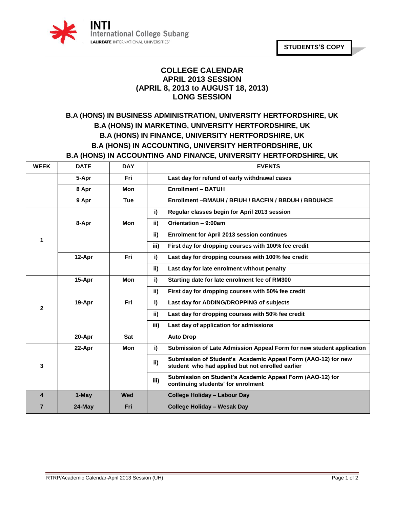

## **COLLEGE CALENDAR APRIL 2013 SESSION (APRIL 8, 2013 to AUGUST 18, 2013) LONG SESSION**

## **B.A (HONS) IN BUSINESS ADMINISTRATION, UNIVERSITY HERTFORDSHIRE, UK B.A (HONS) IN MARKETING, UNIVERSITY HERTFORDSHIRE, UK B.A (HONS) IN FINANCE, UNIVERSITY HERTFORDSHIRE, UK B.A (HONS) IN ACCOUNTING, UNIVERSITY HERTFORDSHIRE, UK B.A (HONS) IN ACCOUNTING AND FINANCE, UNIVERSITY HERTFORDSHIRE, UK**

| <b>WEEK</b>             | <b>DATE</b> | <b>DAY</b> | <b>EVENTS</b>                                                                                                            |
|-------------------------|-------------|------------|--------------------------------------------------------------------------------------------------------------------------|
|                         | 5-Apr       | Fri        | Last day for refund of early withdrawal cases                                                                            |
|                         | 8 Apr       | <b>Mon</b> | <b>Enrollment - BATUH</b>                                                                                                |
|                         | 9 Apr       | <b>Tue</b> | Enrollment-BMAUH / BFIUH / BACFIN / BBDUH / BBDUHCE                                                                      |
| 1                       |             |            | Regular classes begin for April 2013 session<br>i)                                                                       |
|                         | 8-Apr       | <b>Mon</b> | ii)<br>Orientation - 9:00am                                                                                              |
|                         |             |            | ii)<br><b>Enrolment for April 2013 session continues</b>                                                                 |
|                         |             |            | iii)<br>First day for dropping courses with 100% fee credit                                                              |
|                         | 12-Apr      | Fri        | i)<br>Last day for dropping courses with 100% fee credit                                                                 |
|                         |             |            | ii)<br>Last day for late enrolment without penalty                                                                       |
|                         | 15-Apr      | <b>Mon</b> | Starting date for late enrolment fee of RM300<br>i)                                                                      |
| $\mathbf{2}$            |             |            | ii)<br>First day for dropping courses with 50% fee credit                                                                |
|                         | 19-Apr      | Fri        | i)<br>Last day for ADDING/DROPPING of subjects                                                                           |
|                         |             |            | ii)<br>Last day for dropping courses with 50% fee credit                                                                 |
|                         |             |            | iii)<br>Last day of application for admissions                                                                           |
|                         | 20-Apr      | <b>Sat</b> | <b>Auto Drop</b>                                                                                                         |
| 3                       | 22-Apr      | Mon        | Submission of Late Admission Appeal Form for new student application<br>i)                                               |
|                         |             |            | Submission of Student's Academic Appeal Form (AAO-12) for new<br>ii)<br>student who had applied but not enrolled earlier |
|                         |             |            | Submission on Student's Academic Appeal Form (AAO-12) for<br>iii)<br>continuing students' for enrolment                  |
| $\overline{\mathbf{4}}$ | 1-May       | Wed        | <b>College Holiday - Labour Day</b>                                                                                      |
| $\overline{7}$          | $24$ -May   | Fri        | <b>College Holiday - Wesak Day</b>                                                                                       |